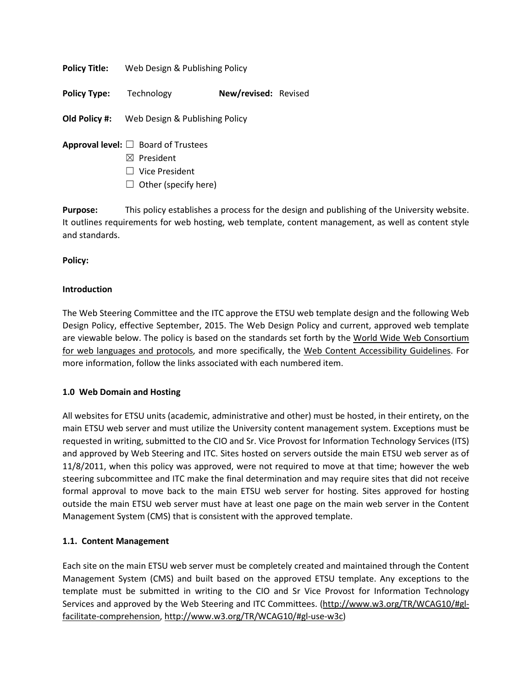**Policy Title:** Web Design & Publishing Policy

**Policy Type:** Technology **New/revised:** Revised

**Old Policy #:** Web Design & Publishing Policy

- **Approval level:** ☐ Board of Trustees
	- ☒ President
	- ☐ Vice President
	- $\Box$  Other (specify here)

**Purpose:** This policy establishes a process for the design and publishing of the University website. It outlines requirements for web hosting, web template, content management, as well as content style and standards.

**Policy:**

### **Introduction**

The Web Steering Committee and the ITC approve the ETSU web template design and the following Web Design Policy, effective September, 2015. The Web Design Policy and current, approved web template are viewable below. The policy is based on the standards set forth by the World Wide Web Consortium [for web languages and protocols,](http://http/www.w3.org/WAI/EO/Drafts/PWD-Use-Web/%23diff) and more specifically, the [Web Content Accessibility Guidelines.](http://www.w3.org/WAI/GL/WCAG20/WD-WCAG20-20080505/%23time-limits-pause) For more information, follow the links associated with each numbered item.

# **1.0 Web Domain and Hosting**

All websites for ETSU units (academic, administrative and other) must be hosted, in their entirety, on the main ETSU web server and must utilize the University content management system. Exceptions must be requested in writing, submitted to the CIO and Sr. Vice Provost for Information Technology Services (ITS) and approved by Web Steering and ITC. Sites hosted on servers outside the main ETSU web server as of 11/8/2011, when this policy was approved, were not required to move at that time; however the web steering subcommittee and ITC make the final determination and may require sites that did not receive formal approval to move back to the main ETSU web server for hosting. Sites approved for hosting outside the main ETSU web server must have at least one page on the main web server in the Content Management System (CMS) that is consistent with the approved template.

# **1.1. Content Management**

Each site on the main ETSU web server must be completely created and maintained through the Content Management System (CMS) and built based on the approved ETSU template. Any exceptions to the template must be submitted in writing to the CIO and Sr Vice Provost for Information Technology Services and approved by the Web Steering and ITC Committees. [\(http://www.w3.org/TR/WCAG10/#gl](http://www.w3.org/TR/WCAG10/%23gl-facilitate-comprehension)[facilitate-comprehension,](http://www.w3.org/TR/WCAG10/%23gl-facilitate-comprehension) [http://www.w3.org/TR/WCAG10/#gl-use-w3c\)](http://www.w3.org/TR/WCAG10/%23gl-use-w3c)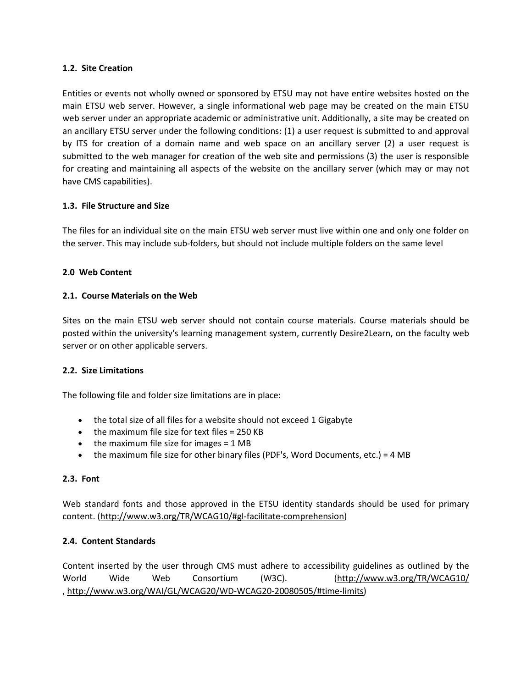### **1.2. Site Creation**

Entities or events not wholly owned or sponsored by ETSU may not have entire websites hosted on the main ETSU web server. However, a single informational web page may be created on the main ETSU web server under an appropriate academic or administrative unit. Additionally, a site may be created on an ancillary ETSU server under the following conditions: (1) a user request is submitted to and approval by ITS for creation of a domain name and web space on an ancillary server (2) a user request is submitted to the web manager for creation of the web site and permissions (3) the user is responsible for creating and maintaining all aspects of the website on the ancillary server (which may or may not have CMS capabilities).

## **1.3. File Structure and Size**

The files for an individual site on the main ETSU web server must live within one and only one folder on the server. This may include sub-folders, but should not include multiple folders on the same level

## **2.0 Web Content**

## **2.1. Course Materials on the Web**

Sites on the main ETSU web server should not contain course materials. Course materials should be posted within the university's learning management system, currently Desire2Learn, on the faculty web server or on other applicable servers.

### **2.2. Size Limitations**

The following file and folder size limitations are in place:

- the total size of all files for a website should not exceed 1 Gigabyte
- the maximum file size for text files = 250 KB
- $\bullet$  the maximum file size for images = 1 MB
- the maximum file size for other binary files (PDF's, Word Documents, etc.) = 4 MB

### **2.3. Font**

Web standard fonts and those approved in the ETSU identity standards should be used for primary content. [\(http://www.w3.org/TR/WCAG10/#gl-facilitate-comprehension\)](http://www.w3.org/TR/WCAG10/%23gl-facilitate-comprehension)

### **2.4. Content Standards**

Content inserted by the user through CMS must adhere to accessibility guidelines as outlined by the World Wide Web Consortium (W3C). [\(http://www.w3.org/TR/WCAG10/](http://www.w3.org/TR/WCAG10/) , [http://www.w3.org/WAI/GL/WCAG20/WD-WCAG20-20080505/#time-limits\)](http://www.w3.org/WAI/GL/WCAG20/WD-WCAG20-20080505/%23time-limits)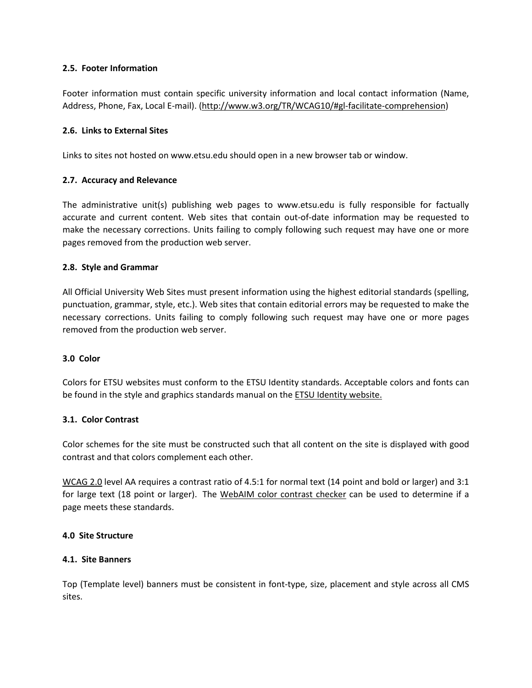## **2.5. Footer Information**

Footer information must contain specific university information and local contact information (Name, Address, Phone, Fax, Local E-mail). [\(http://www.w3.org/TR/WCAG10/#gl-facilitate-comprehension\)](http://www.w3.org/TR/WCAG10/%23gl-facilitate-comprehension)

### **2.6. Links to External Sites**

Links to sites not hosted on www.etsu.edu should open in a new browser tab or window.

## **2.7. Accuracy and Relevance**

The administrative unit(s) publishing web pages to www.etsu.edu is fully responsible for factually accurate and current content. Web sites that contain out-of-date information may be requested to make the necessary corrections. Units failing to comply following such request may have one or more pages removed from the production web server.

## **2.8. Style and Grammar**

All Official University Web Sites must present information using the highest editorial standards (spelling, punctuation, grammar, style, etc.). Web sites that contain editorial errors may be requested to make the necessary corrections. Units failing to comply following such request may have one or more pages removed from the production web server.

### **3.0 Color**

Colors for ETSU websites must conform to the ETSU Identity standards. Acceptable colors and fonts can be found in the style and graphics standards manual on the **ETSU Identity website.** 

### **3.1. Color Contrast**

Color schemes for the site must be constructed such that all content on the site is displayed with good contrast and that colors complement each other.

[WCAG 2.0](http://www.w3.org/TR/WCAG20/) level AA requires a contrast ratio of 4.5:1 for normal text (14 point and bold or larger) and 3:1 for large text (18 point or larger). The [WebAIM color contrast checker](http://webaim.org/resources/contrastchecker/) can be used to determine if a page meets these standards.

## **4.0 Site Structure**

### **4.1. Site Banners**

Top (Template level) banners must be consistent in font-type, size, placement and style across all CMS sites.